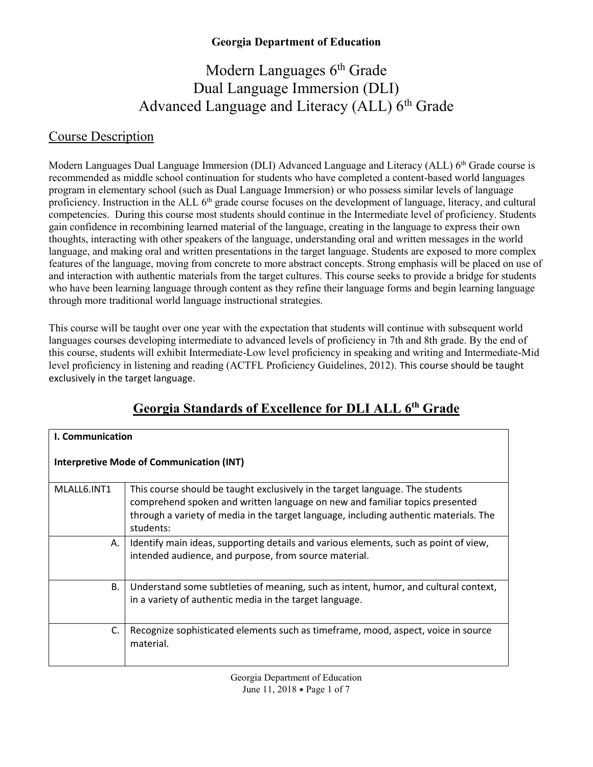# Modern Languages 6<sup>th</sup> Grade Dual Language Immersion (DLI) Advanced Language and Literacy (ALL) 6<sup>th</sup> Grade

#### Course Description

Modern Languages Dual Language Immersion (DLI) Advanced Language and Literacy (ALL) 6<sup>th</sup> Grade course is recommended as middle school continuation for students who have completed a content-based world languages program in elementary school (such as Dual Language Immersion) or who possess similar levels of language proficiency. Instruction in the ALL 6<sup>th</sup> grade course focuses on the development of language, literacy, and cultural competencies. During this course most students should continue in the Intermediate level of proficiency. Students gain confidence in recombining learned material of the language, creating in the language to express their own thoughts, interacting with other speakers of the language, understanding oral and written messages in the world language, and making oral and written presentations in the target language. Students are exposed to more complex features of the language, moving from concrete to more abstract concepts. Strong emphasis will be placed on use of and interaction with authentic materials from the target cultures. This course seeks to provide a bridge for students who have been learning language through content as they refine their language forms and begin learning language through more traditional world language instructional strategies.

This course will be taught over one year with the expectation that students will continue with subsequent world languages courses developing intermediate to advanced levels of proficiency in 7th and 8th grade. By the end of this course, students will exhibit Intermediate-Low level proficiency in speaking and writing and Intermediate-Mid level proficiency in listening and reading (ACTFL Proficiency Guidelines, 2012). This course should be taught exclusively in the target language.

| <b>I. Communication</b>                         |                                                                                                                                                                                                                                                                    |  |
|-------------------------------------------------|--------------------------------------------------------------------------------------------------------------------------------------------------------------------------------------------------------------------------------------------------------------------|--|
| <b>Interpretive Mode of Communication (INT)</b> |                                                                                                                                                                                                                                                                    |  |
| MLALL6.INT1                                     | This course should be taught exclusively in the target language. The students<br>comprehend spoken and written language on new and familiar topics presented<br>through a variety of media in the target language, including authentic materials. The<br>students: |  |
| А.                                              | Identify main ideas, supporting details and various elements, such as point of view,<br>intended audience, and purpose, from source material.                                                                                                                      |  |
| <b>B.</b>                                       | Understand some subtleties of meaning, such as intent, humor, and cultural context,<br>in a variety of authentic media in the target language.                                                                                                                     |  |
| C.                                              | Recognize sophisticated elements such as timeframe, mood, aspect, voice in source<br>material.                                                                                                                                                                     |  |

## **Georgia Standards of Excellence for DLI ALL 6th Grade**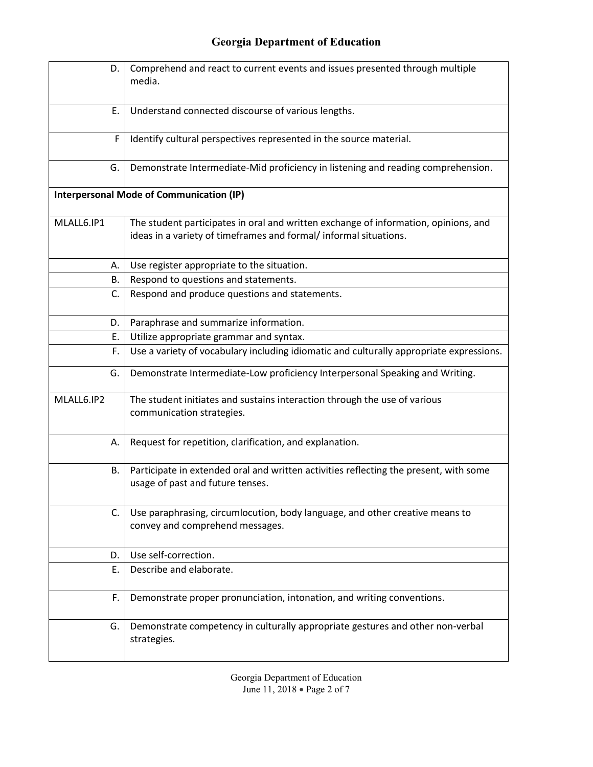| D.                                              | Comprehend and react to current events and issues presented through multiple<br>media.                                                                   |
|-------------------------------------------------|----------------------------------------------------------------------------------------------------------------------------------------------------------|
| E.                                              | Understand connected discourse of various lengths.                                                                                                       |
| F                                               | Identify cultural perspectives represented in the source material.                                                                                       |
| G.                                              | Demonstrate Intermediate-Mid proficiency in listening and reading comprehension.                                                                         |
| <b>Interpersonal Mode of Communication (IP)</b> |                                                                                                                                                          |
| MLALL6.IP1                                      | The student participates in oral and written exchange of information, opinions, and<br>ideas in a variety of timeframes and formal/ informal situations. |
| А.                                              | Use register appropriate to the situation.                                                                                                               |
| В.                                              | Respond to questions and statements.                                                                                                                     |
| C.                                              | Respond and produce questions and statements.                                                                                                            |
| D.                                              | Paraphrase and summarize information.                                                                                                                    |
| E.                                              | Utilize appropriate grammar and syntax.                                                                                                                  |
| F.                                              | Use a variety of vocabulary including idiomatic and culturally appropriate expressions.                                                                  |
| G.                                              | Demonstrate Intermediate-Low proficiency Interpersonal Speaking and Writing.                                                                             |
| MLALL6.IP2                                      | The student initiates and sustains interaction through the use of various<br>communication strategies.                                                   |
| А.                                              | Request for repetition, clarification, and explanation.                                                                                                  |
| В.                                              | Participate in extended oral and written activities reflecting the present, with some<br>usage of past and future tenses.                                |
| C.                                              | Use paraphrasing, circumlocution, body language, and other creative means to<br>convey and comprehend messages.                                          |
| D.                                              | Use self-correction.                                                                                                                                     |
| Ε.                                              | Describe and elaborate.                                                                                                                                  |
| F.                                              | Demonstrate proper pronunciation, intonation, and writing conventions.                                                                                   |
| G.                                              | Demonstrate competency in culturally appropriate gestures and other non-verbal<br>strategies.                                                            |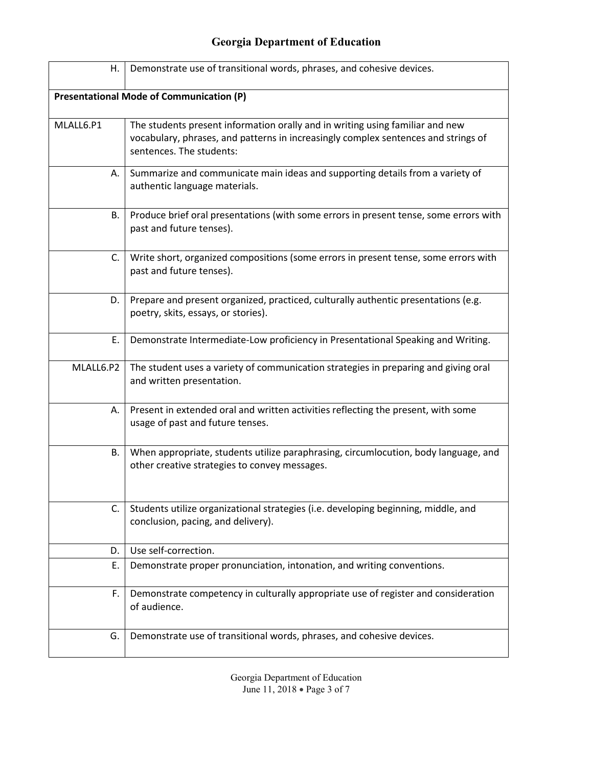| Η.                                              | Demonstrate use of transitional words, phrases, and cohesive devices.                                                                                                                           |  |
|-------------------------------------------------|-------------------------------------------------------------------------------------------------------------------------------------------------------------------------------------------------|--|
| <b>Presentational Mode of Communication (P)</b> |                                                                                                                                                                                                 |  |
| MLALL6.P1                                       | The students present information orally and in writing using familiar and new<br>vocabulary, phrases, and patterns in increasingly complex sentences and strings of<br>sentences. The students: |  |
| А.                                              | Summarize and communicate main ideas and supporting details from a variety of<br>authentic language materials.                                                                                  |  |
| В.                                              | Produce brief oral presentations (with some errors in present tense, some errors with<br>past and future tenses).                                                                               |  |
| C.                                              | Write short, organized compositions (some errors in present tense, some errors with<br>past and future tenses).                                                                                 |  |
| D.                                              | Prepare and present organized, practiced, culturally authentic presentations (e.g.<br>poetry, skits, essays, or stories).                                                                       |  |
| Ε.                                              | Demonstrate Intermediate-Low proficiency in Presentational Speaking and Writing.                                                                                                                |  |
| MLALL6.P2                                       | The student uses a variety of communication strategies in preparing and giving oral<br>and written presentation.                                                                                |  |
| А.                                              | Present in extended oral and written activities reflecting the present, with some<br>usage of past and future tenses.                                                                           |  |
| В.                                              | When appropriate, students utilize paraphrasing, circumlocution, body language, and<br>other creative strategies to convey messages.                                                            |  |
| C.                                              | Students utilize organizational strategies (i.e. developing beginning, middle, and<br>conclusion, pacing, and delivery).                                                                        |  |
| D.                                              | Use self-correction.                                                                                                                                                                            |  |
| Ε.                                              | Demonstrate proper pronunciation, intonation, and writing conventions.                                                                                                                          |  |
| F.                                              | Demonstrate competency in culturally appropriate use of register and consideration<br>of audience.                                                                                              |  |
| G.                                              | Demonstrate use of transitional words, phrases, and cohesive devices.                                                                                                                           |  |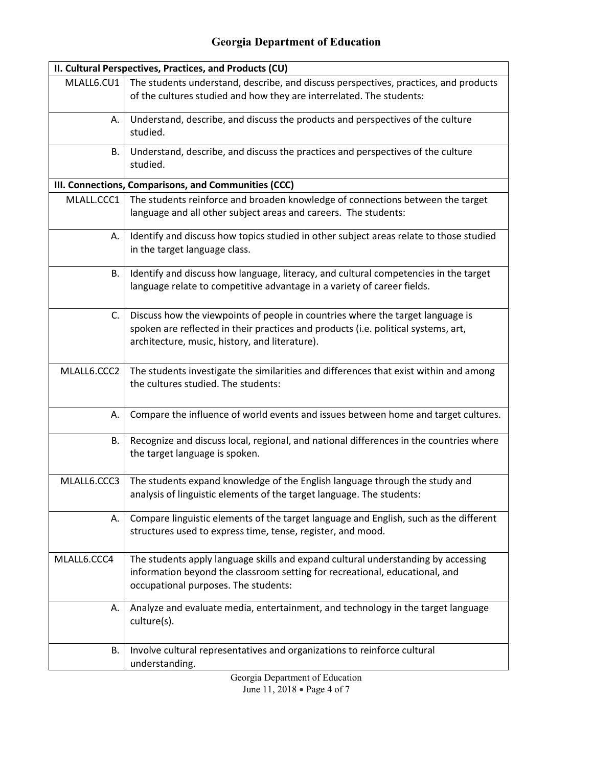| II. Cultural Perspectives, Practices, and Products (CU) |                                                                                                                                                                                                                        |  |
|---------------------------------------------------------|------------------------------------------------------------------------------------------------------------------------------------------------------------------------------------------------------------------------|--|
| MLALL6.CU1                                              | The students understand, describe, and discuss perspectives, practices, and products<br>of the cultures studied and how they are interrelated. The students:                                                           |  |
| А.                                                      | Understand, describe, and discuss the products and perspectives of the culture<br>studied.                                                                                                                             |  |
| В.                                                      | Understand, describe, and discuss the practices and perspectives of the culture<br>studied.                                                                                                                            |  |
|                                                         | III. Connections, Comparisons, and Communities (CCC)                                                                                                                                                                   |  |
| MLALL.CCC1                                              | The students reinforce and broaden knowledge of connections between the target<br>language and all other subject areas and careers. The students:                                                                      |  |
| А.                                                      | Identify and discuss how topics studied in other subject areas relate to those studied<br>in the target language class.                                                                                                |  |
| В.                                                      | Identify and discuss how language, literacy, and cultural competencies in the target<br>language relate to competitive advantage in a variety of career fields.                                                        |  |
| C.                                                      | Discuss how the viewpoints of people in countries where the target language is<br>spoken are reflected in their practices and products (i.e. political systems, art,<br>architecture, music, history, and literature). |  |
| MLALL6.CCC2                                             | The students investigate the similarities and differences that exist within and among<br>the cultures studied. The students:                                                                                           |  |
| А.                                                      | Compare the influence of world events and issues between home and target cultures.                                                                                                                                     |  |
| В.                                                      | Recognize and discuss local, regional, and national differences in the countries where<br>the target language is spoken.                                                                                               |  |
| MLALL6.CCC3                                             | The students expand knowledge of the English language through the study and<br>analysis of linguistic elements of the target language. The students:                                                                   |  |
| А.                                                      | Compare linguistic elements of the target language and English, such as the different<br>structures used to express time, tense, register, and mood.                                                                   |  |
| MLALL6.CCC4                                             | The students apply language skills and expand cultural understanding by accessing<br>information beyond the classroom setting for recreational, educational, and<br>occupational purposes. The students:               |  |
| А.                                                      | Analyze and evaluate media, entertainment, and technology in the target language<br>culture(s).                                                                                                                        |  |
| В.                                                      | Involve cultural representatives and organizations to reinforce cultural<br>understanding.                                                                                                                             |  |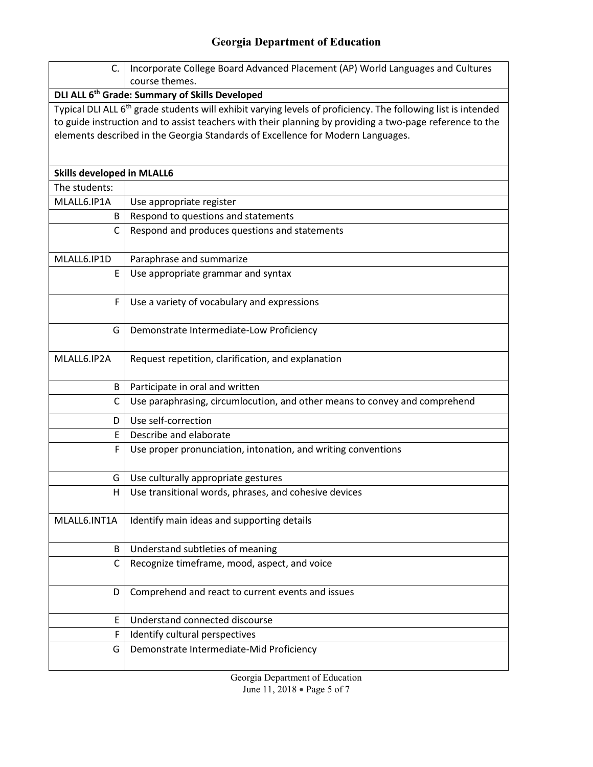| C.                                                                                                                        | Incorporate College Board Advanced Placement (AP) World Languages and Cultures                           |  |
|---------------------------------------------------------------------------------------------------------------------------|----------------------------------------------------------------------------------------------------------|--|
|                                                                                                                           | course themes.                                                                                           |  |
| DLI ALL 6 <sup>th</sup> Grade: Summary of Skills Developed                                                                |                                                                                                          |  |
| Typical DLI ALL 6 <sup>th</sup> grade students will exhibit varying levels of proficiency. The following list is intended |                                                                                                          |  |
|                                                                                                                           | to guide instruction and to assist teachers with their planning by providing a two-page reference to the |  |
|                                                                                                                           | elements described in the Georgia Standards of Excellence for Modern Languages.                          |  |
|                                                                                                                           |                                                                                                          |  |
| <b>Skills developed in MLALL6</b>                                                                                         |                                                                                                          |  |
| The students:                                                                                                             |                                                                                                          |  |
| MLALL6.IP1A                                                                                                               | Use appropriate register                                                                                 |  |
| B                                                                                                                         | Respond to questions and statements                                                                      |  |
| С                                                                                                                         | Respond and produces questions and statements                                                            |  |
|                                                                                                                           |                                                                                                          |  |
| MLALL6.IP1D                                                                                                               | Paraphrase and summarize                                                                                 |  |
| E                                                                                                                         | Use appropriate grammar and syntax                                                                       |  |
| F                                                                                                                         | Use a variety of vocabulary and expressions                                                              |  |
|                                                                                                                           |                                                                                                          |  |
| G                                                                                                                         | Demonstrate Intermediate-Low Proficiency                                                                 |  |
|                                                                                                                           |                                                                                                          |  |
| MLALL6.IP2A                                                                                                               | Request repetition, clarification, and explanation                                                       |  |
| B                                                                                                                         | Participate in oral and written                                                                          |  |
| C                                                                                                                         | Use paraphrasing, circumlocution, and other means to convey and comprehend                               |  |
| D                                                                                                                         | Use self-correction                                                                                      |  |
| E                                                                                                                         | Describe and elaborate                                                                                   |  |
| F                                                                                                                         | Use proper pronunciation, intonation, and writing conventions                                            |  |
|                                                                                                                           |                                                                                                          |  |
| G                                                                                                                         | Use culturally appropriate gestures                                                                      |  |
| н                                                                                                                         | Use transitional words, phrases, and cohesive devices                                                    |  |
| MLALL6.INT1A                                                                                                              | Identify main ideas and supporting details                                                               |  |
|                                                                                                                           |                                                                                                          |  |
| B                                                                                                                         | Understand subtleties of meaning                                                                         |  |
| C                                                                                                                         | Recognize timeframe, mood, aspect, and voice                                                             |  |
|                                                                                                                           |                                                                                                          |  |
| D                                                                                                                         | Comprehend and react to current events and issues                                                        |  |
| E                                                                                                                         | Understand connected discourse                                                                           |  |
| F                                                                                                                         | Identify cultural perspectives                                                                           |  |
| G                                                                                                                         | Demonstrate Intermediate-Mid Proficiency                                                                 |  |
|                                                                                                                           |                                                                                                          |  |

Georgia Department of Education June 11, 2018 • Page 5 of 7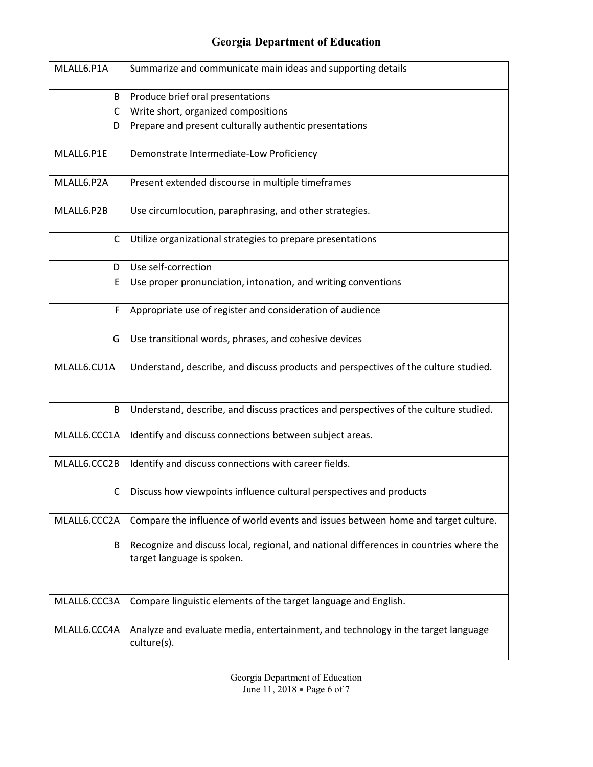| MLALL6.P1A   | Summarize and communicate main ideas and supporting details                                                          |
|--------------|----------------------------------------------------------------------------------------------------------------------|
| B            | Produce brief oral presentations                                                                                     |
| $\mathsf{C}$ | Write short, organized compositions                                                                                  |
| D            | Prepare and present culturally authentic presentations                                                               |
| MLALL6.P1E   | Demonstrate Intermediate-Low Proficiency                                                                             |
| MLALL6.P2A   | Present extended discourse in multiple timeframes                                                                    |
| MLALL6.P2B   | Use circumlocution, paraphrasing, and other strategies.                                                              |
| $\mathsf{C}$ | Utilize organizational strategies to prepare presentations                                                           |
| D            | Use self-correction                                                                                                  |
| E            | Use proper pronunciation, intonation, and writing conventions                                                        |
| F            | Appropriate use of register and consideration of audience                                                            |
| G            | Use transitional words, phrases, and cohesive devices                                                                |
| MLALL6.CU1A  | Understand, describe, and discuss products and perspectives of the culture studied.                                  |
| B            | Understand, describe, and discuss practices and perspectives of the culture studied.                                 |
| MLALL6.CCC1A | Identify and discuss connections between subject areas.                                                              |
| MLALL6.CCC2B | Identify and discuss connections with career fields.                                                                 |
| C            | Discuss how viewpoints influence cultural perspectives and products                                                  |
| MLALL6.CCC2A | Compare the influence of world events and issues between home and target culture.                                    |
| B            | Recognize and discuss local, regional, and national differences in countries where the<br>target language is spoken. |
| MLALL6.CCC3A | Compare linguistic elements of the target language and English.                                                      |
| MLALL6.CCC4A | Analyze and evaluate media, entertainment, and technology in the target language<br>culture(s).                      |